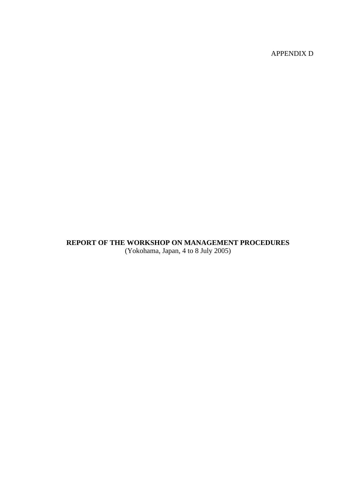APPENDIX D

# **REPORT OF THE WORKSHOP ON MANAGEMENT PROCEDURES**  (Yokohama, Japan, 4 to 8 July 2005)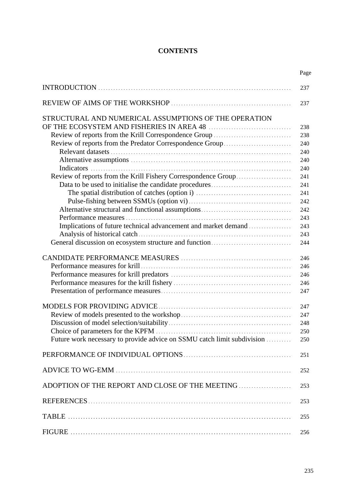# **CONTENTS**

|                                                                         | Page |
|-------------------------------------------------------------------------|------|
|                                                                         | 237  |
|                                                                         | 237  |
| STRUCTURAL AND NUMERICAL ASSUMPTIONS OF THE OPERATION                   |      |
|                                                                         | 238  |
| Review of reports from the Krill Correspondence Group                   | 238  |
| Review of reports from the Predator Correspondence Group                | 240  |
|                                                                         | 240  |
|                                                                         | 240  |
|                                                                         | 240  |
| Review of reports from the Krill Fishery Correspondence Group           | 241  |
|                                                                         | 241  |
|                                                                         | 241  |
|                                                                         | 242  |
|                                                                         | 242  |
|                                                                         | 243  |
| Implications of future technical advancement and market demand          | 243  |
|                                                                         | 243  |
|                                                                         | 244  |
|                                                                         | 246  |
|                                                                         | 246  |
|                                                                         | 246  |
|                                                                         | 246  |
|                                                                         | 247  |
|                                                                         | 247  |
|                                                                         | 247  |
|                                                                         | 248  |
|                                                                         | 250  |
| Future work necessary to provide advice on SSMU catch limit subdivision | 250  |
|                                                                         | 251  |
|                                                                         | 252  |
|                                                                         | 253  |
|                                                                         | 253  |
|                                                                         | 255  |
|                                                                         | 256  |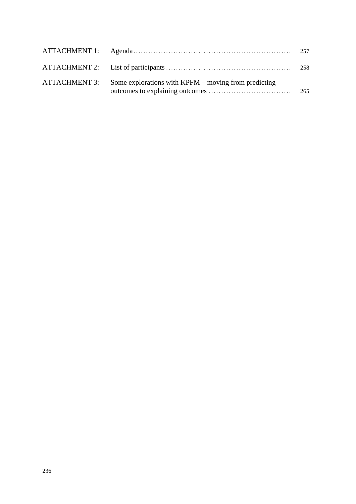|               |                                                           | 258 |
|---------------|-----------------------------------------------------------|-----|
| ATTACHMENT 3: | Some explorations with $K$ PFM $-$ moving from predicting | 265 |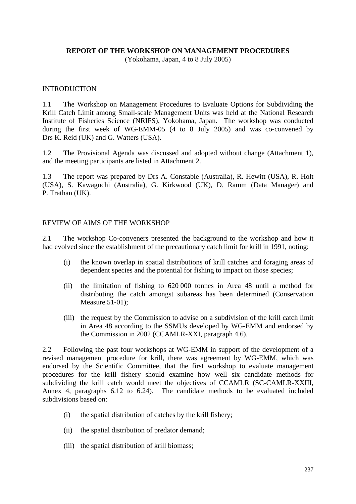#### **REPORT OF THE WORKSHOP ON MANAGEMENT PROCEDURES**

(Yokohama, Japan, 4 to 8 July 2005)

#### INTRODUCTION

1.1 The Workshop on Management Procedures to Evaluate Options for Subdividing the Krill Catch Limit among Small-scale Management Units was held at the National Research Institute of Fisheries Science (NRIFS), Yokohama, Japan. The workshop was conducted during the first week of WG-EMM-05 (4 to 8 July 2005) and was co-convened by Drs K. Reid (UK) and G. Watters (USA).

1.2 The Provisional Agenda was discussed and adopted without change (Attachment 1), and the meeting participants are listed in Attachment 2.

1.3 The report was prepared by Drs A. Constable (Australia), R. Hewitt (USA), R. Holt (USA), S. Kawaguchi (Australia), G. Kirkwood (UK), D. Ramm (Data Manager) and P. Trathan (UK).

#### REVIEW OF AIMS OF THE WORKSHOP

2.1 The workshop Co-conveners presented the background to the workshop and how it had evolved since the establishment of the precautionary catch limit for krill in 1991, noting:

- (i) the known overlap in spatial distributions of krill catches and foraging areas of dependent species and the potential for fishing to impact on those species;
- (ii) the limitation of fishing to 620 000 tonnes in Area 48 until a method for distributing the catch amongst subareas has been determined (Conservation Measure 51-01);
- (iii) the request by the Commission to advise on a subdivision of the krill catch limit in Area 48 according to the SSMUs developed by WG-EMM and endorsed by the Commission in 2002 (CCAMLR-XXI, paragraph 4.6).

2.2 Following the past four workshops at WG-EMM in support of the development of a revised management procedure for krill, there was agreement by WG-EMM, which was endorsed by the Scientific Committee, that the first workshop to evaluate management procedures for the krill fishery should examine how well six candidate methods for subdividing the krill catch would meet the objectives of CCAMLR (SC-CAMLR-XXIII, Annex 4, paragraphs 6.12 to 6.24). The candidate methods to be evaluated included subdivisions based on:

- (i) the spatial distribution of catches by the krill fishery;
- (ii) the spatial distribution of predator demand;
- (iii) the spatial distribution of krill biomass;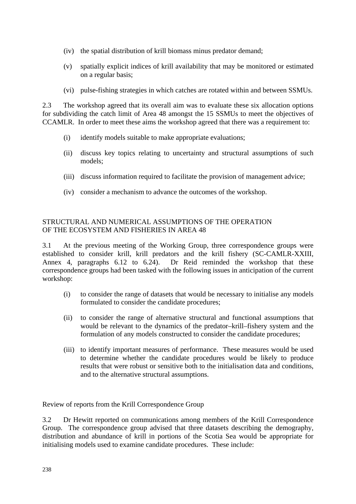- (iv) the spatial distribution of krill biomass minus predator demand;
- (v) spatially explicit indices of krill availability that may be monitored or estimated on a regular basis;
- (vi) pulse-fishing strategies in which catches are rotated within and between SSMUs.

2.3 The workshop agreed that its overall aim was to evaluate these six allocation options for subdividing the catch limit of Area 48 amongst the 15 SSMUs to meet the objectives of CCAMLR. In order to meet these aims the workshop agreed that there was a requirement to:

- (i) identify models suitable to make appropriate evaluations;
- (ii) discuss key topics relating to uncertainty and structural assumptions of such models;
- (iii) discuss information required to facilitate the provision of management advice;
- (iv) consider a mechanism to advance the outcomes of the workshop.

#### STRUCTURAL AND NUMERICAL ASSUMPTIONS OF THE OPERATION OF THE ECOSYSTEM AND FISHERIES IN AREA 48

3.1 At the previous meeting of the Working Group, three correspondence groups were established to consider krill, krill predators and the krill fishery (SC-CAMLR-XXIII, Annex 4, paragraphs 6.12 to 6.24). Dr Reid reminded the workshop that these correspondence groups had been tasked with the following issues in anticipation of the current workshop:

- (i) to consider the range of datasets that would be necessary to initialise any models formulated to consider the candidate procedures;
- (ii) to consider the range of alternative structural and functional assumptions that would be relevant to the dynamics of the predator–krill–fishery system and the formulation of any models constructed to consider the candidate procedures;
- (iii) to identify important measures of performance. These measures would be used to determine whether the candidate procedures would be likely to produce results that were robust or sensitive both to the initialisation data and conditions, and to the alternative structural assumptions.

Review of reports from the Krill Correspondence Group

3.2 Dr Hewitt reported on communications among members of the Krill Correspondence Group. The correspondence group advised that three datasets describing the demography, distribution and abundance of krill in portions of the Scotia Sea would be appropriate for initialising models used to examine candidate procedures. These include: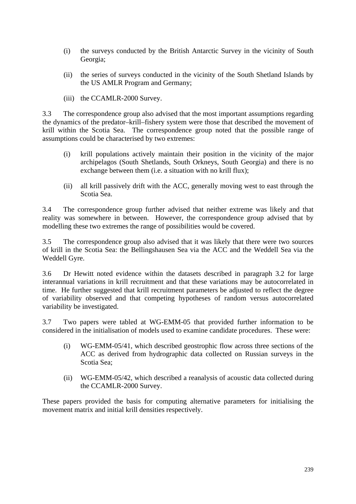- (i) the surveys conducted by the British Antarctic Survey in the vicinity of South Georgia;
- (ii) the series of surveys conducted in the vicinity of the South Shetland Islands by the US AMLR Program and Germany;
- (iii) the CCAMLR-2000 Survey.

3.3 The correspondence group also advised that the most important assumptions regarding the dynamics of the predator–krill–fishery system were those that described the movement of krill within the Scotia Sea. The correspondence group noted that the possible range of assumptions could be characterised by two extremes:

- (i) krill populations actively maintain their position in the vicinity of the major archipelagos (South Shetlands, South Orkneys, South Georgia) and there is no exchange between them (i.e. a situation with no krill flux);
- (ii) all krill passively drift with the ACC, generally moving west to east through the Scotia Sea.

3.4 The correspondence group further advised that neither extreme was likely and that reality was somewhere in between. However, the correspondence group advised that by modelling these two extremes the range of possibilities would be covered.

3.5 The correspondence group also advised that it was likely that there were two sources of krill in the Scotia Sea: the Bellingshausen Sea via the ACC and the Weddell Sea via the Weddell Gyre.

3.6 Dr Hewitt noted evidence within the datasets described in paragraph 3.2 for large interannual variations in krill recruitment and that these variations may be autocorrelated in time. He further suggested that krill recruitment parameters be adjusted to reflect the degree of variability observed and that competing hypotheses of random versus autocorrelated variability be investigated.

3.7 Two papers were tabled at WG-EMM-05 that provided further information to be considered in the initialisation of models used to examine candidate procedures. These were:

- (i) WG-EMM-05/41, which described geostrophic flow across three sections of the ACC as derived from hydrographic data collected on Russian surveys in the Scotia Sea;
- (ii) WG-EMM-05/42, which described a reanalysis of acoustic data collected during the CCAMLR-2000 Survey.

These papers provided the basis for computing alternative parameters for initialising the movement matrix and initial krill densities respectively.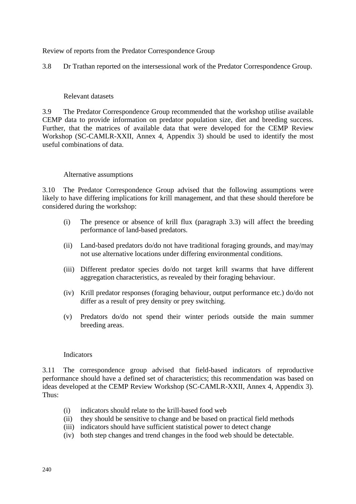Review of reports from the Predator Correspondence Group

3.8 Dr Trathan reported on the intersessional work of the Predator Correspondence Group.

#### Relevant datasets

3.9 The Predator Correspondence Group recommended that the workshop utilise available CEMP data to provide information on predator population size, diet and breeding success. Further, that the matrices of available data that were developed for the CEMP Review Workshop (SC-CAMLR-XXII, Annex 4, Appendix 3) should be used to identify the most useful combinations of data.

#### Alternative assumptions

3.10 The Predator Correspondence Group advised that the following assumptions were likely to have differing implications for krill management, and that these should therefore be considered during the workshop:

- (i) The presence or absence of krill flux (paragraph 3.3) will affect the breeding performance of land-based predators.
- (ii) Land-based predators do/do not have traditional foraging grounds, and may/may not use alternative locations under differing environmental conditions.
- (iii) Different predator species do/do not target krill swarms that have different aggregation characteristics, as revealed by their foraging behaviour.
- (iv) Krill predator responses (foraging behaviour, output performance etc.) do/do not differ as a result of prey density or prey switching.
- (v) Predators do/do not spend their winter periods outside the main summer breeding areas.

#### Indicators

3.11 The correspondence group advised that field-based indicators of reproductive performance should have a defined set of characteristics; this recommendation was based on ideas developed at the CEMP Review Workshop (SC-CAMLR-XXII, Annex 4, Appendix 3). Thus:

- (i) indicators should relate to the krill-based food web
- (ii) they should be sensitive to change and be based on practical field methods
- (iii) indicators should have sufficient statistical power to detect change
- (iv) both step changes and trend changes in the food web should be detectable.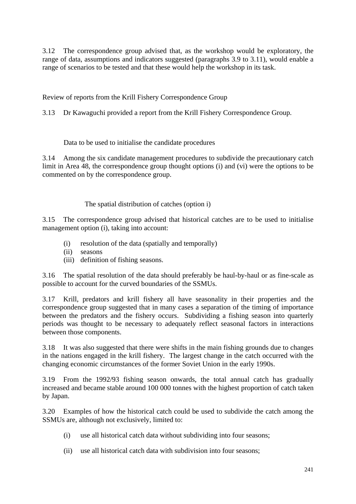3.12 The correspondence group advised that, as the workshop would be exploratory, the range of data, assumptions and indicators suggested (paragraphs 3.9 to 3.11), would enable a range of scenarios to be tested and that these would help the workshop in its task.

Review of reports from the Krill Fishery Correspondence Group

3.13 Dr Kawaguchi provided a report from the Krill Fishery Correspondence Group.

### Data to be used to initialise the candidate procedures

3.14 Among the six candidate management procedures to subdivide the precautionary catch limit in Area 48, the correspondence group thought options (i) and (vi) were the options to be commented on by the correspondence group.

## The spatial distribution of catches (option i)

3.15 The correspondence group advised that historical catches are to be used to initialise management option (i), taking into account:

- (i) resolution of the data (spatially and temporally)
- (ii) seasons
- (iii) definition of fishing seasons.

3.16 The spatial resolution of the data should preferably be haul-by-haul or as fine-scale as possible to account for the curved boundaries of the SSMUs.

3.17 Krill, predators and krill fishery all have seasonality in their properties and the correspondence group suggested that in many cases a separation of the timing of importance between the predators and the fishery occurs. Subdividing a fishing season into quarterly periods was thought to be necessary to adequately reflect seasonal factors in interactions between those components.

3.18 It was also suggested that there were shifts in the main fishing grounds due to changes in the nations engaged in the krill fishery. The largest change in the catch occurred with the changing economic circumstances of the former Soviet Union in the early 1990s.

3.19 From the 1992/93 fishing season onwards, the total annual catch has gradually increased and became stable around 100 000 tonnes with the highest proportion of catch taken by Japan.

3.20 Examples of how the historical catch could be used to subdivide the catch among the SSMUs are, although not exclusively, limited to:

- (i) use all historical catch data without subdividing into four seasons;
- (ii) use all historical catch data with subdivision into four seasons;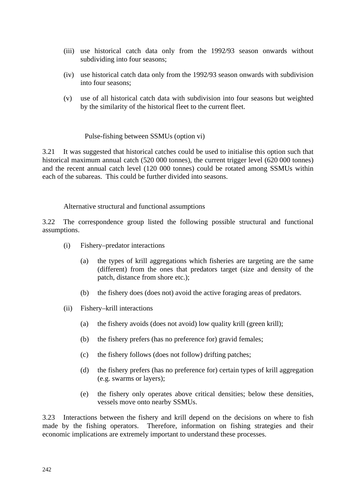- (iii) use historical catch data only from the 1992/93 season onwards without subdividing into four seasons;
- (iv) use historical catch data only from the 1992/93 season onwards with subdivision into four seasons;
- (v) use of all historical catch data with subdivision into four seasons but weighted by the similarity of the historical fleet to the current fleet.

#### Pulse-fishing between SSMUs (option vi)

3.21 It was suggested that historical catches could be used to initialise this option such that historical maximum annual catch (520 000 tonnes), the current trigger level (620 000 tonnes) and the recent annual catch level (120 000 tonnes) could be rotated among SSMUs within each of the subareas. This could be further divided into seasons.

#### Alternative structural and functional assumptions

3.22 The correspondence group listed the following possible structural and functional assumptions.

- (i) Fishery–predator interactions
	- (a) the types of krill aggregations which fisheries are targeting are the same (different) from the ones that predators target (size and density of the patch, distance from shore etc.);
	- (b) the fishery does (does not) avoid the active foraging areas of predators.
- (ii) Fishery–krill interactions
	- (a) the fishery avoids (does not avoid) low quality krill (green krill);
	- (b) the fishery prefers (has no preference for) gravid females;
	- (c) the fishery follows (does not follow) drifting patches;
	- (d) the fishery prefers (has no preference for) certain types of krill aggregation (e.g. swarms or layers);
	- (e) the fishery only operates above critical densities; below these densities, vessels move onto nearby SSMUs.

3.23 Interactions between the fishery and krill depend on the decisions on where to fish made by the fishing operators. Therefore, information on fishing strategies and their economic implications are extremely important to understand these processes.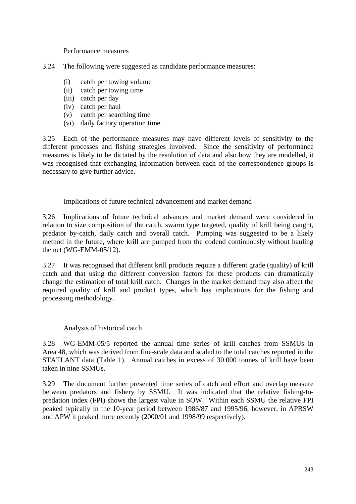Performance measures

- 3.24 The following were suggested as candidate performance measures:
	- (i) catch per towing volume
	- (ii) catch per towing time
	- (iii) catch per day
	- (iv) catch per haul
	- (v) catch per searching time
	- (vi) daily factory operation time.

3.25 Each of the performance measures may have different levels of sensitivity to the different processes and fishing strategies involved. Since the sensitivity of performance measures is likely to be dictated by the resolution of data and also how they are modelled, it was recognised that exchanging information between each of the correspondence groups is necessary to give further advice.

Implications of future technical advancement and market demand

3.26 Implications of future technical advances and market demand were considered in relation to size composition of the catch, swarm type targeted, quality of krill being caught, predator by-catch, daily catch and overall catch. Pumping was suggested to be a likely method in the future, where krill are pumped from the codend continuously without hauling the net (WG-EMM-05/12).

3.27 It was recognised that different krill products require a different grade (quality) of krill catch and that using the different conversion factors for these products can dramatically change the estimation of total krill catch. Changes in the market demand may also affect the required quality of krill and product types, which has implications for the fishing and processing methodology.

### Analysis of historical catch

3.28 WG-EMM-05/5 reported the annual time series of krill catches from SSMUs in Area 48, which was derived from fine-scale data and scaled to the total catches reported in the STATLANT data (Table 1). Annual catches in excess of 30 000 tonnes of krill have been taken in nine SSMUs.

3.29 The document further presented time series of catch and effort and overlap measure between predators and fishery by SSMU. It was indicated that the relative fishing-topredation index (FPI) shows the largest value in SOW. Within each SSMU the relative FPI peaked typically in the 10-year period between 1986/87 and 1995/96, however, in APBSW and APW it peaked more recently (2000/01 and 1998/99 respectively).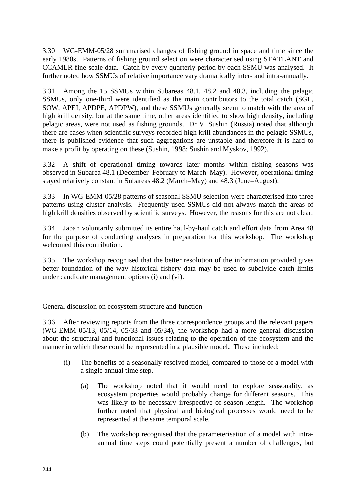3.30 WG-EMM-05/28 summarised changes of fishing ground in space and time since the early 1980s. Patterns of fishing ground selection were characterised using STATLANT and CCAMLR fine-scale data. Catch by every quarterly period by each SSMU was analysed. It further noted how SSMUs of relative importance vary dramatically inter- and intra-annually.

3.31 Among the 15 SSMUs within Subareas 48.1, 48.2 and 48.3, including the pelagic SSMUs, only one-third were identified as the main contributors to the total catch (SGE, SOW, APEI, APDPE, APDPW), and these SSMUs generally seem to match with the area of high krill density, but at the same time, other areas identified to show high density, including pelagic areas, were not used as fishing grounds. Dr V. Sushin (Russia) noted that although there are cases when scientific surveys recorded high krill abundances in the pelagic SSMUs, there is published evidence that such aggregations are unstable and therefore it is hard to make a profit by operating on these (Sushin, 1998; Sushin and Myskov, 1992).

3.32 A shift of operational timing towards later months within fishing seasons was observed in Subarea 48.1 (December–February to March–May). However, operational timing stayed relatively constant in Subareas 48.2 (March–May) and 48.3 (June–August).

3.33 In WG-EMM-05/28 patterns of seasonal SSMU selection were characterised into three patterns using cluster analysis. Frequently used SSMUs did not always match the areas of high krill densities observed by scientific surveys. However, the reasons for this are not clear.

3.34 Japan voluntarily submitted its entire haul-by-haul catch and effort data from Area 48 for the purpose of conducting analyses in preparation for this workshop. The workshop welcomed this contribution.

3.35 The workshop recognised that the better resolution of the information provided gives better foundation of the way historical fishery data may be used to subdivide catch limits under candidate management options (i) and (vi).

General discussion on ecosystem structure and function

3.36 After reviewing reports from the three correspondence groups and the relevant papers (WG-EMM-05/13, 05/14, 05/33 and 05/34), the workshop had a more general discussion about the structural and functional issues relating to the operation of the ecosystem and the manner in which these could be represented in a plausible model. These included:

- (i) The benefits of a seasonally resolved model, compared to those of a model with a single annual time step.
	- (a) The workshop noted that it would need to explore seasonality, as ecosystem properties would probably change for different seasons. This was likely to be necessary irrespective of season length. The workshop further noted that physical and biological processes would need to be represented at the same temporal scale.
	- (b) The workshop recognised that the parameterisation of a model with intraannual time steps could potentially present a number of challenges, but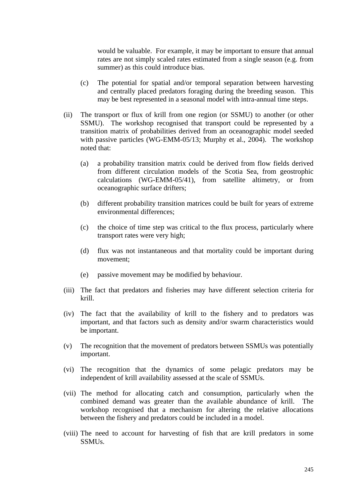would be valuable. For example, it may be important to ensure that annual rates are not simply scaled rates estimated from a single season (e.g. from summer) as this could introduce bias.

- (c) The potential for spatial and/or temporal separation between harvesting and centrally placed predators foraging during the breeding season. This may be best represented in a seasonal model with intra-annual time steps.
- (ii) The transport or flux of krill from one region (or SSMU) to another (or other SSMU). The workshop recognised that transport could be represented by a transition matrix of probabilities derived from an oceanographic model seeded with passive particles (WG-EMM-05/13; Murphy et al., 2004). The workshop noted that:
	- (a) a probability transition matrix could be derived from flow fields derived from different circulation models of the Scotia Sea, from geostrophic calculations (WG-EMM-05/41), from satellite altimetry, or from oceanographic surface drifters;
	- (b) different probability transition matrices could be built for years of extreme environmental differences;
	- (c) the choice of time step was critical to the flux process, particularly where transport rates were very high;
	- (d) flux was not instantaneous and that mortality could be important during movement;
	- (e) passive movement may be modified by behaviour.
- (iii) The fact that predators and fisheries may have different selection criteria for krill.
- (iv) The fact that the availability of krill to the fishery and to predators was important, and that factors such as density and/or swarm characteristics would be important.
- (v) The recognition that the movement of predators between SSMUs was potentially important.
- (vi) The recognition that the dynamics of some pelagic predators may be independent of krill availability assessed at the scale of SSMUs.
- (vii) The method for allocating catch and consumption, particularly when the combined demand was greater than the available abundance of krill. The workshop recognised that a mechanism for altering the relative allocations between the fishery and predators could be included in a model.
- (viii) The need to account for harvesting of fish that are krill predators in some SSMUs.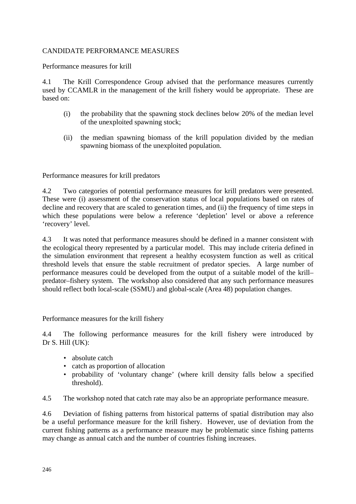#### CANDIDATE PERFORMANCE MEASURES

Performance measures for krill

4.1 The Krill Correspondence Group advised that the performance measures currently used by CCAMLR in the management of the krill fishery would be appropriate. These are based on:

- (i) the probability that the spawning stock declines below 20% of the median level of the unexploited spawning stock;
- (ii) the median spawning biomass of the krill population divided by the median spawning biomass of the unexploited population.

Performance measures for krill predators

4.2 Two categories of potential performance measures for krill predators were presented. These were (i) assessment of the conservation status of local populations based on rates of decline and recovery that are scaled to generation times, and (ii) the frequency of time steps in which these populations were below a reference 'depletion' level or above a reference 'recovery' level.

4.3 It was noted that performance measures should be defined in a manner consistent with the ecological theory represented by a particular model. This may include criteria defined in the simulation environment that represent a healthy ecosystem function as well as critical threshold levels that ensure the stable recruitment of predator species. A large number of performance measures could be developed from the output of a suitable model of the krill– predator–fishery system. The workshop also considered that any such performance measures should reflect both local-scale (SSMU) and global-scale (Area 48) population changes.

Performance measures for the krill fishery

4.4 The following performance measures for the krill fishery were introduced by Dr S. Hill (UK):

- absolute catch
- catch as proportion of allocation
- probability of 'voluntary change' (where krill density falls below a specified threshold).

4.5 The workshop noted that catch rate may also be an appropriate performance measure.

4.6 Deviation of fishing patterns from historical patterns of spatial distribution may also be a useful performance measure for the krill fishery. However, use of deviation from the current fishing patterns as a performance measure may be problematic since fishing patterns may change as annual catch and the number of countries fishing increases.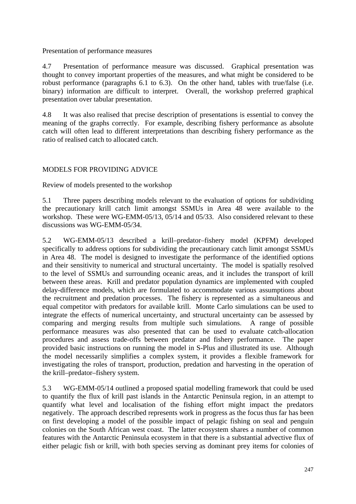Presentation of performance measures

4.7 Presentation of performance measure was discussed. Graphical presentation was thought to convey important properties of the measures, and what might be considered to be robust performance (paragraphs 6.1 to 6.3). On the other hand, tables with true/false (i.e. binary) information are difficult to interpret. Overall, the workshop preferred graphical presentation over tabular presentation.

4.8 It was also realised that precise description of presentations is essential to convey the meaning of the graphs correctly. For example, describing fishery performance as absolute catch will often lead to different interpretations than describing fishery performance as the ratio of realised catch to allocated catch.

# MODELS FOR PROVIDING ADVICE

Review of models presented to the workshop

5.1 Three papers describing models relevant to the evaluation of options for subdividing the precautionary krill catch limit amongst SSMUs in Area 48 were available to the workshop. These were WG-EMM-05/13, 05/14 and 05/33. Also considered relevant to these discussions was WG-EMM-05/34.

5.2 WG-EMM-05/13 described a krill–predator–fishery model (KPFM) developed specifically to address options for subdividing the precautionary catch limit amongst SSMUs in Area 48. The model is designed to investigate the performance of the identified options and their sensitivity to numerical and structural uncertainty. The model is spatially resolved to the level of SSMUs and surrounding oceanic areas, and it includes the transport of krill between these areas. Krill and predator population dynamics are implemented with coupled delay-difference models, which are formulated to accommodate various assumptions about the recruitment and predation processes. The fishery is represented as a simultaneous and equal competitor with predators for available krill. Monte Carlo simulations can be used to integrate the effects of numerical uncertainty, and structural uncertainty can be assessed by comparing and merging results from multiple such simulations. A range of possible performance measures was also presented that can be used to evaluate catch-allocation procedures and assess trade-offs between predator and fishery performance. The paper provided basic instructions on running the model in S-Plus and illustrated its use. Although the model necessarily simplifies a complex system, it provides a flexible framework for investigating the roles of transport, production, predation and harvesting in the operation of the krill–predator–fishery system.

5.3 WG-EMM-05/14 outlined a proposed spatial modelling framework that could be used to quantify the flux of krill past islands in the Antarctic Peninsula region, in an attempt to quantify what level and localisation of the fishing effort might impact the predators negatively. The approach described represents work in progress as the focus thus far has been on first developing a model of the possible impact of pelagic fishing on seal and penguin colonies on the South African west coast. The latter ecosystem shares a number of common features with the Antarctic Peninsula ecosystem in that there is a substantial advective flux of either pelagic fish or krill, with both species serving as dominant prey items for colonies of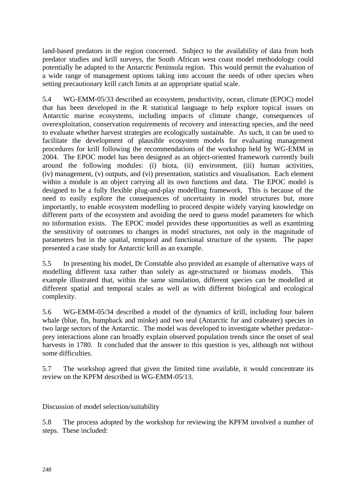land-based predators in the region concerned. Subject to the availability of data from both predator studies and krill surveys, the South African west coast model methodology could potentially be adapted to the Antarctic Peninsula region. This would permit the evaluation of a wide range of management options taking into account the needs of other species when setting precautionary krill catch limits at an appropriate spatial scale.

5.4 WG-EMM-05/33 described an ecosystem, productivity, ocean, climate (EPOC) model that has been developed in the R statistical language to help explore topical issues on Antarctic marine ecosystems, including impacts of climate change, consequences of overexploitation, conservation requirements of recovery and interacting species, and the need to evaluate whether harvest strategies are ecologically sustainable. As such, it can be used to facilitate the development of plausible ecosystem models for evaluating management procedures for krill following the recommendations of the workshop held by WG-EMM in 2004. The EPOC model has been designed as an object-oriented framework currently built around the following modules: (i) biota, (ii) environment, (iii) human activities, (iv) management, (v) outputs, and (vi) presentation, statistics and visualisation. Each element within a module is an object carrying all its own functions and data. The EPOC model is designed to be a fully flexible plug-and-play modelling framework. This is because of the need to easily explore the consequences of uncertainty in model structures but, more importantly, to enable ecosystem modelling to proceed despite widely varying knowledge on different parts of the ecosystem and avoiding the need to guess model parameters for which no information exists. The EPOC model provides these opportunities as well as examining the sensitivity of outcomes to changes in model structures, not only in the magnitude of parameters but in the spatial, temporal and functional structure of the system. The paper presented a case study for Antarctic krill as an example.

5.5 In presenting his model, Dr Constable also provided an example of alternative ways of modelling different taxa rather than solely as age-structured or biomass models. This example illustrated that, within the same simulation, different species can be modelled at different spatial and temporal scales as well as with different biological and ecological complexity.

5.6 WG-EMM-05/34 described a model of the dynamics of krill, including four baleen whale (blue, fin, humpback and minke) and two seal (Antarctic fur and crabeater) species in two large sectors of the Antarctic. The model was developed to investigate whether predator– prey interactions alone can broadly explain observed population trends since the onset of seal harvests in 1780. It concluded that the answer to this question is yes, although not without some difficulties.

5.7 The workshop agreed that given the limited time available, it would concentrate its review on the KPFM described in WG-EMM-05/13.

Discussion of model selection/suitability

5.8 The process adopted by the workshop for reviewing the KPFM involved a number of steps. These included: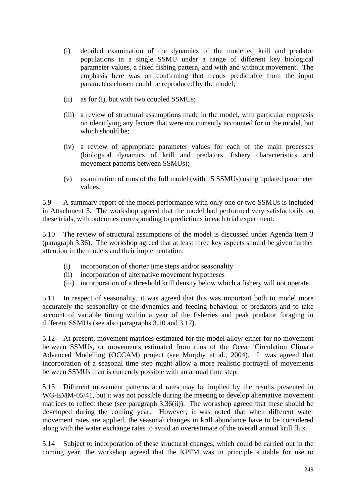- (i) detailed examination of the dynamics of the modelled krill and predator populations in a single SSMU under a range of different key biological parameter values, a fixed fishing pattern, and with and without movement. The emphasis here was on confirming that trends predictable from the input parameters chosen could be reproduced by the model;
- (ii) as for (i), but with two coupled SSMUs;
- (iii) a review of structural assumptions made in the model, with particular emphasis on identifying any factors that were not currently accounted for in the model, but which should be;
- (iv) a review of appropriate parameter values for each of the main processes (biological dynamics of krill and predators, fishery characteristics and movement patterns between SSMUs);
- (v) examination of runs of the full model (with 15 SSMUs) using updated parameter values.

5.9 A summary report of the model performance with only one or two SSMUs is included in Attachment 3. The workshop agreed that the model had performed very satisfactorily on these trials, with outcomes corresponding to predictions in each trial experiment.

5.10 The review of structural assumptions of the model is discussed under Agenda Item 3 (paragraph 3.36). The workshop agreed that at least three key aspects should be given further attention in the models and their implementation:

- (i) incorporation of shorter time steps and/or seasonality
- (ii) incorporation of alternative movement hypotheses
- (iii) incorporation of a threshold krill density below which a fishery will not operate.

5.11 In respect of seasonality, it was agreed that this was important both to model more accurately the seasonality of the dynamics and feeding behaviour of predators and to take account of variable timing within a year of the fisheries and peak predator foraging in different SSMUs (see also paragraphs 3.10 and 3.17).

5.12 At present, movement matrices estimated for the model allow either for no movement between SSMUs, or movements estimated from runs of the Ocean Circulation Climate Advanced Modelling (OCCAM) project (see Murphy et al., 2004). It was agreed that incorporation of a seasonal time step might allow a more realistic portrayal of movements between SSMUs than is currently possible with an annual time step.

5.13 Different movement patterns and rates may be implied by the results presented in WG-EMM-05/41, but it was not possible during the meeting to develop alternative movement matrices to reflect these (see paragraph 3.36(ii)). The workshop agreed that these should be developed during the coming year. However, it was noted that when different water movement rates are applied, the seasonal changes in krill abundance have to be considered along with the water exchange rates to avoid an overestimate of the overall annual krill flux.

5.14 Subject to incorporation of these structural changes, which could be carried out in the coming year, the workshop agreed that the KPFM was in principle suitable for use to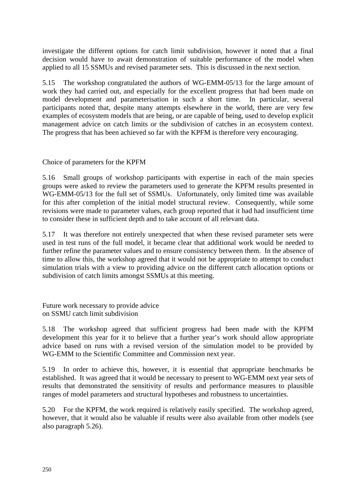investigate the different options for catch limit subdivision, however it noted that a final decision would have to await demonstration of suitable performance of the model when applied to all 15 SSMUs and revised parameter sets. This is discussed in the next section.

5.15 The workshop congratulated the authors of WG-EMM-05/13 for the large amount of work they had carried out, and especially for the excellent progress that had been made on model development and parameterisation in such a short time. In particular, several participants noted that, despite many attempts elsewhere in the world, there are very few examples of ecosystem models that are being, or are capable of being, used to develop explicit management advice on catch limits or the subdivision of catches in an ecosystem context. The progress that has been achieved so far with the KPFM is therefore very encouraging.

Choice of parameters for the KPFM

5.16 Small groups of workshop participants with expertise in each of the main species groups were asked to review the parameters used to generate the KPFM results presented in WG-EMM-05/13 for the full set of SSMUs. Unfortunately, only limited time was available for this after completion of the initial model structural review. Consequently, while some revisions were made to parameter values, each group reported that it had had insufficient time to consider these in sufficient depth and to take account of all relevant data.

5.17 It was therefore not entirely unexpected that when these revised parameter sets were used in test runs of the full model, it became clear that additional work would be needed to further refine the parameter values and to ensure consistency between them. In the absence of time to allow this, the workshop agreed that it would not be appropriate to attempt to conduct simulation trials with a view to providing advice on the different catch allocation options or subdivision of catch limits amongst SSMUs at this meeting.

Future work necessary to provide advice on SSMU catch limit subdivision

5.18 The workshop agreed that sufficient progress had been made with the KPFM development this year for it to believe that a further year's work should allow appropriate advice based on runs with a revised version of the simulation model to be provided by WG-EMM to the Scientific Committee and Commission next year.

5.19 In order to achieve this, however, it is essential that appropriate benchmarks be established. It was agreed that it would be necessary to present to WG-EMM next year sets of results that demonstrated the sensitivity of results and performance measures to plausible ranges of model parameters and structural hypotheses and robustness to uncertainties.

5.20 For the KPFM, the work required is relatively easily specified. The workshop agreed, however, that it would also be valuable if results were also available from other models (see also paragraph 5.26).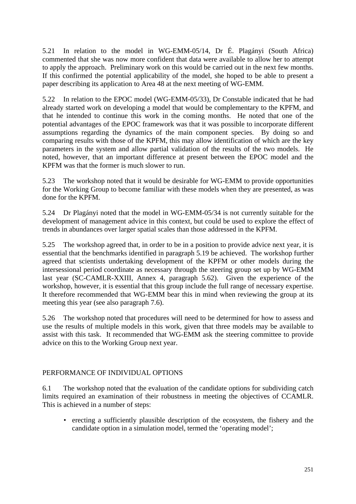5.21 In relation to the model in WG-EMM-05/14, Dr É. Plagányi (South Africa) commented that she was now more confident that data were available to allow her to attempt to apply the approach. Preliminary work on this would be carried out in the next few months. If this confirmed the potential applicability of the model, she hoped to be able to present a paper describing its application to Area 48 at the next meeting of WG-EMM.

5.22 In relation to the EPOC model (WG-EMM-05/33), Dr Constable indicated that he had already started work on developing a model that would be complementary to the KPFM, and that he intended to continue this work in the coming months. He noted that one of the potential advantages of the EPOC framework was that it was possible to incorporate different assumptions regarding the dynamics of the main component species. By doing so and comparing results with those of the KPFM, this may allow identification of which are the key parameters in the system and allow partial validation of the results of the two models. He noted, however, that an important difference at present between the EPOC model and the KPFM was that the former is much slower to run.

5.23 The workshop noted that it would be desirable for WG-EMM to provide opportunities for the Working Group to become familiar with these models when they are presented, as was done for the KPFM.

5.24 Dr Plagányi noted that the model in WG-EMM-05/34 is not currently suitable for the development of management advice in this context, but could be used to explore the effect of trends in abundances over larger spatial scales than those addressed in the KPFM.

5.25 The workshop agreed that, in order to be in a position to provide advice next year, it is essential that the benchmarks identified in paragraph 5.19 be achieved. The workshop further agreed that scientists undertaking development of the KPFM or other models during the intersessional period coordinate as necessary through the steering group set up by WG-EMM last year (SC-CAMLR-XXIII, Annex 4, paragraph 5.62). Given the experience of the workshop, however, it is essential that this group include the full range of necessary expertise. It therefore recommended that WG-EMM bear this in mind when reviewing the group at its meeting this year (see also paragraph 7.6).

5.26 The workshop noted that procedures will need to be determined for how to assess and use the results of multiple models in this work, given that three models may be available to assist with this task. It recommended that WG-EMM ask the steering committee to provide advice on this to the Working Group next year.

### PERFORMANCE OF INDIVIDUAL OPTIONS

6.1 The workshop noted that the evaluation of the candidate options for subdividing catch limits required an examination of their robustness in meeting the objectives of CCAMLR. This is achieved in a number of steps:

• erecting a sufficiently plausible description of the ecosystem, the fishery and the candidate option in a simulation model, termed the 'operating model';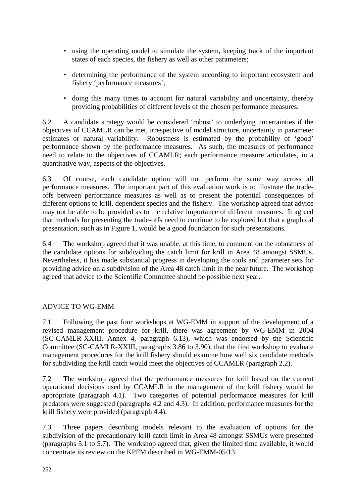- using the operating model to simulate the system, keeping track of the important states of each species, the fishery as well as other parameters;
- determining the performance of the system according to important ecosystem and fishery 'performance measures';
- doing this many times to account for natural variability and uncertainty, thereby providing probabilities of different levels of the chosen performance measures.

6.2 A candidate strategy would be considered 'robust' to underlying uncertainties if the objectives of CCAMLR can be met, irrespective of model structure, uncertainty in parameter estimates or natural variability. Robustness is estimated by the probability of 'good' performance shown by the performance measures. As such, the measures of performance need to relate to the objectives of CCAMLR; each performance measure articulates, in a quantitative way, aspects of the objectives.

6.3 Of course, each candidate option will not perform the same way across all performance measures. The important part of this evaluation work is to illustrate the tradeoffs between performance measures as well as to present the potential consequences of different options to krill, dependent species and the fishery. The workshop agreed that advice may not be able to be provided as to the relative importance of different measures. It agreed that methods for presenting the trade-offs need to continue to be explored but that a graphical presentation, such as in Figure 1, would be a good foundation for such presentations.

6.4 The workshop agreed that it was unable, at this time, to comment on the robustness of the candidate options for subdividing the catch limit for krill in Area 48 amongst SSMUs. Nevertheless, it has made substantial progress in developing the tools and parameter sets for providing advice on a subdivision of the Area 48 catch limit in the near future. The workshop agreed that advice to the Scientific Committee should be possible next year.

# ADVICE TO WG-EMM

7.1 Following the past four workshops at WG-EMM in support of the development of a revised management procedure for krill, there was agreement by WG-EMM in 2004 (SC-CAMLR-XXIII, Annex 4, paragraph 6.13), which was endorsed by the Scientific Committee (SC-CAMLR-XXIII, paragraphs 3.86 to 3.90), that the first workshop to evaluate management procedures for the krill fishery should examine how well six candidate methods for subdividing the krill catch would meet the objectives of CCAMLR (paragraph 2.2).

7.2 The workshop agreed that the performance measures for krill based on the current operational decisions used by CCAMLR in the management of the krill fishery would be appropriate (paragraph 4.1). Two categories of potential performance measures for krill predators were suggested (paragraphs 4.2 and 4.3). In addition, performance measures for the krill fishery were provided (paragraph 4.4).

7.3 Three papers describing models relevant to the evaluation of options for the subdivision of the precautionary krill catch limit in Area 48 amongst SSMUs were presented (paragraphs 5.1 to 5.7). The workshop agreed that, given the limited time available, it would concentrate its review on the KPFM described in WG-EMM-05/13.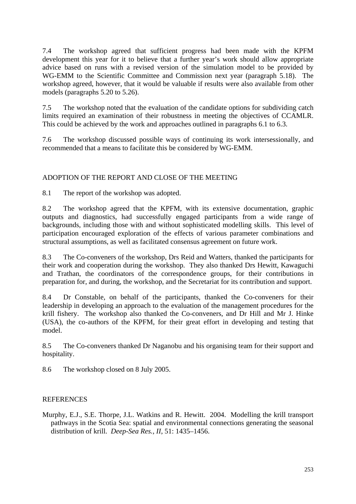7.4 The workshop agreed that sufficient progress had been made with the KPFM development this year for it to believe that a further year's work should allow appropriate advice based on runs with a revised version of the simulation model to be provided by WG-EMM to the Scientific Committee and Commission next year (paragraph 5.18). The workshop agreed, however, that it would be valuable if results were also available from other models (paragraphs 5.20 to 5.26).

7.5 The workshop noted that the evaluation of the candidate options for subdividing catch limits required an examination of their robustness in meeting the objectives of CCAMLR. This could be achieved by the work and approaches outlined in paragraphs 6.1 to 6.3.

7.6 The workshop discussed possible ways of continuing its work intersessionally, and recommended that a means to facilitate this be considered by WG-EMM.

## ADOPTION OF THE REPORT AND CLOSE OF THE MEETING

8.1 The report of the workshop was adopted.

8.2 The workshop agreed that the KPFM, with its extensive documentation, graphic outputs and diagnostics, had successfully engaged participants from a wide range of backgrounds, including those with and without sophisticated modelling skills. This level of participation encouraged exploration of the effects of various parameter combinations and structural assumptions, as well as facilitated consensus agreement on future work.

8.3 The Co-conveners of the workshop, Drs Reid and Watters, thanked the participants for their work and cooperation during the workshop. They also thanked Drs Hewitt, Kawaguchi and Trathan, the coordinators of the correspondence groups, for their contributions in preparation for, and during, the workshop, and the Secretariat for its contribution and support.

8.4 Dr Constable, on behalf of the participants, thanked the Co-conveners for their leadership in developing an approach to the evaluation of the management procedures for the krill fishery. The workshop also thanked the Co-conveners, and Dr Hill and Mr J. Hinke (USA), the co-authors of the KPFM, for their great effort in developing and testing that model.

8.5 The Co-conveners thanked Dr Naganobu and his organising team for their support and hospitality.

8.6 The workshop closed on 8 July 2005.

### **REFERENCES**

Murphy, E.J., S.E. Thorpe, J.L. Watkins and R. Hewitt. 2004. Modelling the krill transport pathways in the Scotia Sea: spatial and environmental connections generating the seasonal distribution of krill. *Deep-Sea Res., II*, 51: 1435–1456.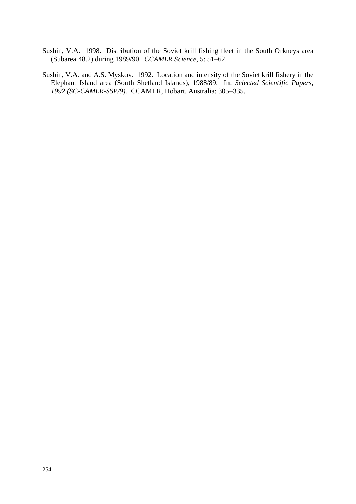- Sushin, V.A. 1998. Distribution of the Soviet krill fishing fleet in the South Orkneys area (Subarea 48.2) during 1989/90. *CCAMLR Science*, 5: 51–62.
- Sushin, V.A. and A.S. Myskov. 1992. Location and intensity of the Soviet krill fishery in the Elephant Island area (South Shetland Islands), 1988/89. In: *Selected Scientific Papers, 1992 (SC-CAMLR-SSP/9)*. CCAMLR, Hobart, Australia: 305–335.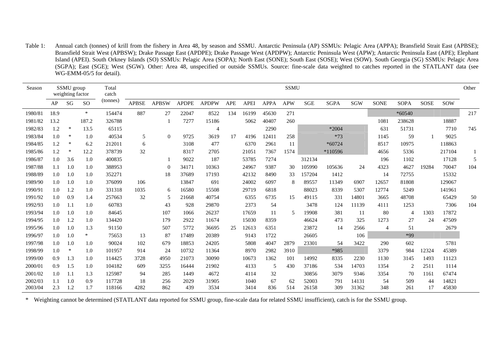Table 1: Annual catch (tonnes) of krill from the fishery in Area 48, by season and SSMU. Antarctic Peninsula (AP) SSMUs: Pelagic Area (APPA); Bransfield Strait East (APBSE); Bransfield Strait West (APBSW); Drake Passage East (APDPE); Drake Passage West (APDPW); Antarctic Peninsula West (APW); Antarctic Peninsula East (APE); Elephant Island (APEI). South Orkney Islands (SO) SSMUs: Pelagic Area (SOPA); North East (SONE); South East (SOSE); West (SOW). South Georgia (SG) SSMUs: Pelagic Area (SGPA); East (SGE); West (SGW). Other: Area 48, unspecified or outside SSMUs. Source: fine-scale data weighted to catches reported in the STATLANT data (see WG-EMM-05/5 for detail).

| Season  |      | SSMU group<br>weighting factor |           | Total<br>catch |              |              |              |                |            |             |             | <b>SSMU</b> |            |             |       |                |                |             |            | Other        |
|---------|------|--------------------------------|-----------|----------------|--------------|--------------|--------------|----------------|------------|-------------|-------------|-------------|------------|-------------|-------|----------------|----------------|-------------|------------|--------------|
|         | AP   | SG                             | <b>SO</b> | (tonnes)       | <b>APBSE</b> | <b>APBSW</b> | <b>APDPE</b> | <b>APDPW</b>   | <b>APE</b> | <b>APEI</b> | <b>APPA</b> | <b>APW</b>  | <b>SGE</b> | <b>SGPA</b> | SGW   | <b>SONE</b>    | <b>SOPA</b>    | <b>SOSE</b> | <b>SOW</b> |              |
| 1980/81 | 18.9 |                                | $\ast$    | 154474         | 887          | 27           | 22047        | 8522           | 134        | 16199       | 45630       | 271         |            |             |       |                | $*60540$       |             |            | 217          |
| 1981/82 | 13.2 |                                | 187.2     | 326788         |              |              | 7277         | 15186          |            | 5062        | 40407       | 260         |            |             |       | 1081           | 238628         |             | 18887      |              |
| 1982/83 | 1.2  | *                              | 13.5      | 65115          |              |              |              | $\overline{4}$ |            |             | 2290        |             |            | *2004       |       | 631            | 51731          |             | 7710       | 745          |
| 1983/84 | 1.0  | ∗                              | 1.0       | 40534          | 5            | $\theta$     | 9725         | 3619           | 17         | 4196        | 12411       | 258         |            | $*73$       |       | 1145           | 59             |             | 9025       |              |
| 1984/85 | 1.2  | *                              | 6.2       | 212011         | 6            |              | 3108         | 477            |            | 6370        | 2961        | 11          |            | $*60724$    |       | 8517           | 10975          |             | 118863     |              |
| 1985/86 | 1.2  | ∗                              | 12.2      | 378739         | 32           |              | 8317         | 2705           |            | 21051       | 7367        | 1574        |            | *110596     |       | 4656           | 5336           |             | 217104     | $\mathbf{1}$ |
| 1986/87 | 1.0  | 3.6                            | 1.0       | 400835         |              |              | 9022         | 187            |            | 53785       | 7274        |             | 312134     |             |       | 196            | 1102           |             | 17128      | 5            |
| 1987/88 | 1.1  | 1.0                            | 1.0       | 388953         |              | $\theta$     | 34171        | 10363          |            | 24967       | 9387        | 30          | 105990     | 105636      | 24    | 4323           | 4627           | 19284       | 70047      | 104          |
| 1988/89 | 1.0  | 1.0                            | 1.0       | 352271         |              | 18           | 37689        | 17193          |            | 42132       | 8490        | 33          | 157204     | 1412        |       | 14             | 72755          |             | 15332      |              |
| 1989/90 | 1.0  | 1.0                            | 1.0       | 376099         | 106          |              | 13847        | 691            |            | 24002       | 6097        | 8           | 89557      | 11349       | 6907  | 12657          | 81808          |             | 129067     |              |
| 1990/91 | 1.0  | 1.2                            | 1.0       | 331318         | 1035         | 6            | 16580        | 15508          |            | 29719       | 6818        |             | 88023      | 8339        | 5307  | 12774          | 5249           |             | 141961     |              |
| 1991/92 | 1.0  | 0.9                            | 1.4       | 257663         | 32           | 5            | 21668        | 40754          |            | 6355        | 6735        | 15          | 49115      | 331         | 14801 | 3665           | 48708          |             | 65429      | 50           |
| 1992/93 | 1.0  | 1.1                            | 1.0       | 60783          |              | 43           | 928          | 29870          |            | 2373        | 54          |             | 3478       | 124         | 11139 | 4111           | 1253           |             | 7306       | 104          |
| 1993/94 | 1.0  | 1.0                            | 1.0       | 84645          |              | 107          | 1066         | 26237          |            | 17659       | 11          | 5           | 19908      | 381         | 11    | 80             | $\overline{4}$ | 1303        | 17872      |              |
| 1994/95 | 1.0  | 1.2                            | 1.0       | 134420         |              | 179          | 2922         | 11674          |            | 15030       | 8359        |             | 46624      | 473         | 325   | 1273           | 27             | 24          | 47509      |              |
| 1995/96 | 1.0  | 1.0                            | 1.3       | 91150          |              | 507          | 5772         | 36695          | 25         | 12613       | 6351        |             | 23872      | 14          | 2566  | $\overline{4}$ | 51             |             | 2679       |              |
| 1996/97 | 1.0  | 1.0                            | *         | 75653          | 13           | 87           | 17489        | 20389          |            | 9143        | 1722        |             | 26605      |             | 106   |                | *99            |             |            |              |
| 1997/98 | 1.0  | 1.0                            | 1.0       | 90024          | 102          | 679          | 18853        | 24205          |            | 5808        | 4047        | 2879        | 23301      | 54          | 3422  | 290            | 602            |             | 5781       |              |
| 1998/99 | 1.0  | ∗                              | 1.0       | 101957         | 914          | 24           | 10732        | 11364          |            | 8970        | 2982        | 3910        |            | $*985$      |       | 3379           | 984            | 12324       | 45389      |              |
| 1999/00 | 0.9  | 1.3                            | 1.0       | 114425         | 3728         | 4950         | 21073        | 30090          |            | 10673       | 1362        | 101         | 14992      | 8335        | 2230  | 1130           | 3145           | 1493        | 11123      |              |
| 2000/01 | 0.9  | 1.5                            | 1.0       | 104182         | 609          | 3255         | 16444        | 21902          |            | 4133        | 5           | 430         | 37186      | 534         | 14703 | 1354           | $\overline{2}$ | 2511        | 1114       |              |
| 2001/02 | 1.0  | 1.1                            | 1.3       | 125987         | 94           | 285          | 1449         | 4672           |            | 4114        | 32          |             | 30856      | 3079        | 9346  | 3354           | 70             | 1161        | 67474      |              |
| 2002/03 | 1.1  | 1.0                            | 0.9       | 117728         | 18           | 256          | 2029         | 31905          |            | 1040        | 67          | 62          | 52003      | 791         | 14131 | 54             | 509            | 44          | 14821      |              |
| 2003/04 | 2.3  | 1.2                            | 1.7       | 118166         | 4282         | 862          | 439          | 3534           |            | 3414        | 836         | 514         | 26158      | 309         | 31362 | 348            | 261            | 17          | 45830      |              |

\* Weighting cannot be determined (STATLANT data reported for SSMU group, fine-scale data for related SSMU insufficient), catch is for the SSMU group.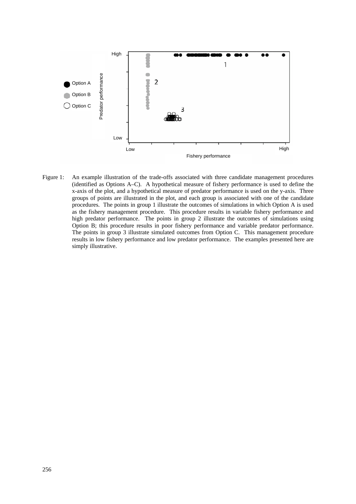

Figure 1: An example illustration of the trade-offs associated with three candidate management procedures (identified as Options A–C). A hypothetical measure of fishery performance is used to define the x-axis of the plot, and a hypothetical measure of predator performance is used on the y-axis. Three groups of points are illustrated in the plot, and each group is associated with one of the candidate procedures. The points in group 1 illustrate the outcomes of simulations in which Option A is used as the fishery management procedure. This procedure results in variable fishery performance and high predator performance. The points in group 2 illustrate the outcomes of simulations using Option B; this procedure results in poor fishery performance and variable predator performance. The points in group 3 illustrate simulated outcomes from Option C. This management procedure results in low fishery performance and low predator performance. The examples presented here are simply illustrative.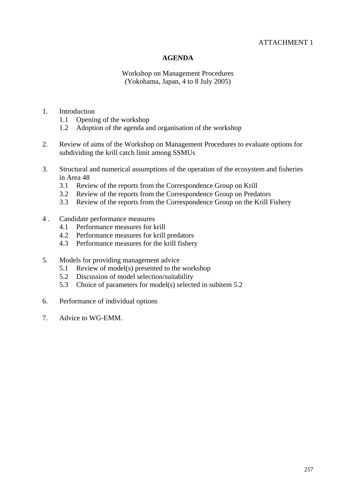## ATTACHMENT 1

## **AGENDA**

Workshop on Management Procedures (Yokohama, Japan, 4 to 8 July 2005)

- 1. Introduction
	- 1.1 Opening of the workshop
	- 1.2 Adoption of the agenda and organisation of the workshop
- 2. Review of aims of the Workshop on Management Procedures to evaluate options for subdividing the krill catch limit among SSMUs
- 3. Structural and numerical assumptions of the operation of the ecosystem and fisheries in Area 48
	- 3.1 Review of the reports from the Correspondence Group on Krill
	- 3.2 Review of the reports from the Correspondence Group on Predators
	- 3.3 Review of the reports from the Correspondence Group on the Krill Fishery
- 4 . Candidate performance measures
	- 4.1 Performance measures for krill
	- 4.2 Performance measures for krill predators
	- 4.3 Performance measures for the krill fishery
- 5. Models for providing management advice
	- 5.1 Review of model(s) presented to the workshop
	- 5.2 Discussion of model selection/suitability
	- 5.3 Choice of parameters for model(s) selected in subitem 5.2
- 6. Performance of individual options
- 7. Advice to WG-EMM.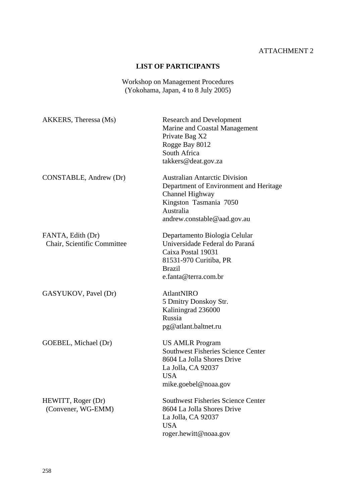# ATTACHMENT 2

# **LIST OF PARTICIPANTS**

Workshop on Management Procedures (Yokohama, Japan, 4 to 8 July 2005)

| AKKERS, Theressa (Ms)                            | <b>Research and Development</b><br>Marine and Coastal Management<br>Private Bag X2<br>Rogge Bay 8012<br>South Africa<br>takkers@deat.gov.za                             |
|--------------------------------------------------|-------------------------------------------------------------------------------------------------------------------------------------------------------------------------|
| CONSTABLE, Andrew (Dr)                           | <b>Australian Antarctic Division</b><br>Department of Environment and Heritage<br>Channel Highway<br>Kingston Tasmania 7050<br>Australia<br>andrew.constable@aad.gov.au |
| FANTA, Edith (Dr)<br>Chair, Scientific Committee | Departamento Biologia Celular<br>Universidade Federal do Paraná<br>Caixa Postal 19031<br>81531-970 Curitiba, PR<br><b>Brazil</b><br>e.fanta@terra.com.br                |
| GASYUKOV, Pavel (Dr)                             | AtlantNIRO<br>5 Dmitry Donskoy Str.<br>Kaliningrad 236000<br>Russia<br>pg@atlant.baltnet.ru                                                                             |
| GOEBEL, Michael (Dr)                             | <b>US AMLR Program</b><br><b>Southwest Fisheries Science Center</b><br>8604 La Jolla Shores Drive<br>La Jolla, CA 92037<br><b>USA</b><br>mike.goebel@noaa.gov           |
| HEWITT, Roger (Dr)<br>(Convener, WG-EMM)         | <b>Southwest Fisheries Science Center</b><br>8604 La Jolla Shores Drive<br>La Jolla, CA 92037<br><b>USA</b><br>roger.hewitt@noaa.gov                                    |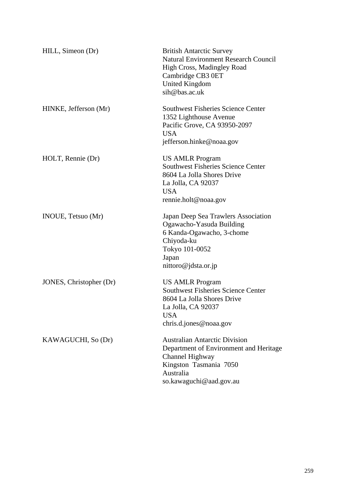| HILL, Simeon (Dr)       | <b>British Antarctic Survey</b><br><b>Natural Environment Research Council</b><br>High Cross, Madingley Road<br>Cambridge CB3 0ET<br><b>United Kingdom</b><br>sih@bas.ac.uk |
|-------------------------|-----------------------------------------------------------------------------------------------------------------------------------------------------------------------------|
| HINKE, Jefferson (Mr)   | <b>Southwest Fisheries Science Center</b><br>1352 Lighthouse Avenue<br>Pacific Grove, CA 93950-2097<br><b>USA</b><br>jefferson.hinke@noaa.gov                               |
| HOLT, Rennie (Dr)       | <b>US AMLR Program</b><br><b>Southwest Fisheries Science Center</b><br>8604 La Jolla Shores Drive<br>La Jolla, CA 92037<br><b>USA</b><br>rennie.holt@noaa.gov               |
| INOUE, Tetsuo (Mr)      | Japan Deep Sea Trawlers Association<br>Ogawacho-Yasuda Building<br>6 Kanda-Ogawacho, 3-chome<br>Chiyoda-ku<br>Tokyo 101-0052<br>Japan<br>nittoro@jdsta.or.jp                |
| JONES, Christopher (Dr) | <b>US AMLR Program</b><br><b>Southwest Fisheries Science Center</b><br>8604 La Jolla Shores Drive<br>La Jolla, CA 92037<br><b>USA</b><br>chris.d.jones@noaa.gov             |
| KAWAGUCHI, So (Dr)      | <b>Australian Antarctic Division</b><br>Department of Environment and Heritage<br>Channel Highway<br>Kingston Tasmania 7050<br>Australia<br>so.kawaguchi@aad.gov.au         |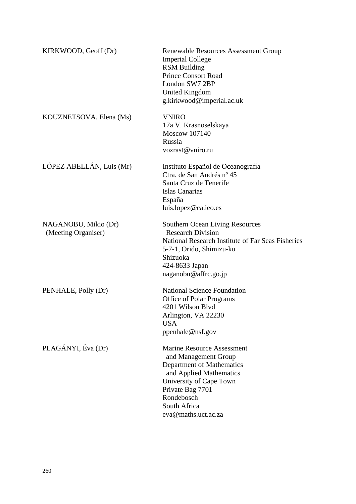| KIRKWOOD, Geoff (Dr)                        | <b>Renewable Resources Assessment Group</b><br><b>Imperial College</b><br><b>RSM Building</b><br><b>Prince Consort Road</b><br>London SW7 2BP<br>United Kingdom<br>g.kirkwood@imperial.ac.uk                          |
|---------------------------------------------|-----------------------------------------------------------------------------------------------------------------------------------------------------------------------------------------------------------------------|
| KOUZNETSOVA, Elena (Ms)                     | <b>VNIRO</b><br>17a V. Krasnoselskaya<br><b>Moscow 107140</b><br>Russia<br>vozrast@vniro.ru                                                                                                                           |
| LÓPEZ ABELLÁN, Luis (Mr)                    | Instituto Español de Oceanografía<br>Ctra. de San Andrés nº 45<br>Santa Cruz de Tenerife<br>Islas Canarias<br>España<br>luis.lopez@ca.ieo.es                                                                          |
| NAGANOBU, Mikio (Dr)<br>(Meeting Organiser) | <b>Southern Ocean Living Resources</b><br><b>Research Division</b><br>National Research Institute of Far Seas Fisheries<br>5-7-1, Orido, Shimizu-ku<br>Shizuoka<br>424-8633 Japan<br>naganobu@affrc.go.jp             |
| PENHALE, Polly (Dr)                         | <b>National Science Foundation</b><br><b>Office of Polar Programs</b><br>4201 Wilson Blvd<br>Arlington, VA 22230<br><b>USA</b><br>ppenhale@nsf.gov                                                                    |
| PLAGÁNYI, Éva (Dr)                          | <b>Marine Resource Assessment</b><br>and Management Group<br>Department of Mathematics<br>and Applied Mathematics<br>University of Cape Town<br>Private Bag 7701<br>Rondebosch<br>South Africa<br>eva@maths.uct.ac.za |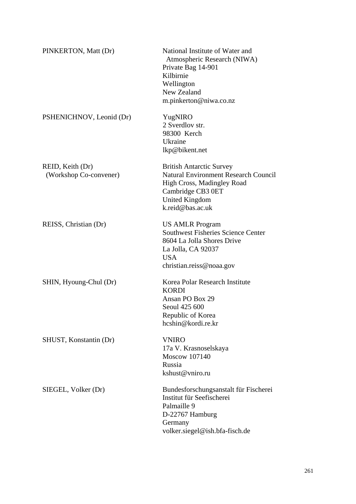| PINKERTON, Matt (Dr)                       | National Institute of Water and<br>Atmospheric Research (NIWA)<br>Private Bag 14-901<br>Kilbirnie<br>Wellington<br>New Zealand<br>m.pinkerton@niwa.co.nz                       |
|--------------------------------------------|--------------------------------------------------------------------------------------------------------------------------------------------------------------------------------|
| PSHENICHNOV, Leonid (Dr)                   | YugNIRO<br>2 Sverdlov str.<br>98300 Kerch<br>Ukraine<br>lkp@bikent.net                                                                                                         |
| REID, Keith (Dr)<br>(Workshop Co-convener) | <b>British Antarctic Survey</b><br><b>Natural Environment Research Council</b><br>High Cross, Madingley Road<br>Cambridge CB3 0ET<br><b>United Kingdom</b><br>k.reid@bas.ac.uk |
| REISS, Christian (Dr)                      | <b>US AMLR Program</b><br><b>Southwest Fisheries Science Center</b><br>8604 La Jolla Shores Drive<br>La Jolla, CA 92037<br><b>USA</b><br>christian.reiss@noaa.gov              |
| SHIN, Hyoung-Chul (Dr)                     | Korea Polar Research Institute<br><b>KORDI</b><br>Ansan PO Box 29<br>Seoul 425 600<br>Republic of Korea<br>hcshin@kordi.re.kr                                                  |
| SHUST, Konstantin (Dr)                     | <b>VNIRO</b><br>17a V. Krasnoselskaya<br><b>Moscow 107140</b><br>Russia<br>kshust@vniro.ru                                                                                     |
| SIEGEL, Volker (Dr)                        | Bundesforschungsanstalt für Fischerei<br>Institut für Seefischerei<br>Palmaille 9<br>D-22767 Hamburg<br>Germany<br>volker.siegel@ish.bfa-fisch.de                              |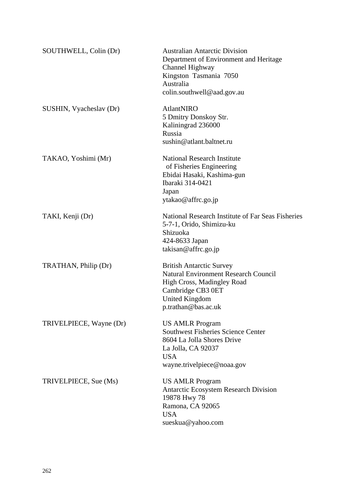| SOUTHWELL, Colin (Dr)   | <b>Australian Antarctic Division</b><br>Department of Environment and Heritage<br>Channel Highway<br>Kingston Tasmania 7050<br>Australia<br>colin.southwell@aad.gov.au            |
|-------------------------|-----------------------------------------------------------------------------------------------------------------------------------------------------------------------------------|
| SUSHIN, Vyacheslav (Dr) | <b>AtlantNIRO</b><br>5 Dmitry Donskoy Str.<br>Kaliningrad 236000<br>Russia<br>sushin@atlant.baltnet.ru                                                                            |
| TAKAO, Yoshimi (Mr)     | <b>National Research Institute</b><br>of Fisheries Engineering<br>Ebidai Hasaki, Kashima-gun<br>Ibaraki 314-0421<br>Japan<br>ytakao@affrc.go.jp                                   |
| TAKI, Kenji (Dr)        | National Research Institute of Far Seas Fisheries<br>5-7-1, Orido, Shimizu-ku<br>Shizuoka<br>424-8633 Japan<br>$\text{taking} @$ affrc.go.jp                                      |
| TRATHAN, Philip (Dr)    | <b>British Antarctic Survey</b><br><b>Natural Environment Research Council</b><br>High Cross, Madingley Road<br>Cambridge CB3 0ET<br><b>United Kingdom</b><br>p.trathan@bas.ac.uk |
| TRIVELPIECE, Wayne (Dr) | <b>US AMLR Program</b><br><b>Southwest Fisheries Science Center</b><br>8604 La Jolla Shores Drive<br>La Jolla, CA 92037<br><b>USA</b><br>wayne.trivelpiece@noaa.gov               |
| TRIVELPIECE, Sue (Ms)   | <b>US AMLR Program</b><br><b>Antarctic Ecosystem Research Division</b><br>19878 Hwy 78<br>Ramona, CA 92065<br><b>USA</b><br>sueskua@yahoo.com                                     |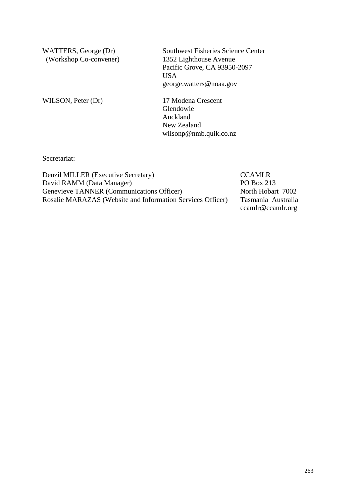WATTERS, George (Dr) (Workshop Co-convener) Southwest Fisheries Science Center 1352 Lighthouse Avenue Pacific Grove, CA 93950-2097 USA george.watters@noaa.gov

WILSON, Peter (Dr) 17 Modena Crescent

Glendowie Auckland New Zealand wilsonp@nmb.quik.co.nz

Secretariat:

Denzil MILLER (Executive Secretary) CCAMLR David RAMM (Data Manager) PO Box 213 Genevieve TANNER (Communications Officer) North Hobart 7002 Rosalie MARAZAS (Website and Information Services Officer) Tasmania Australia

ccamlr@ccamlr.org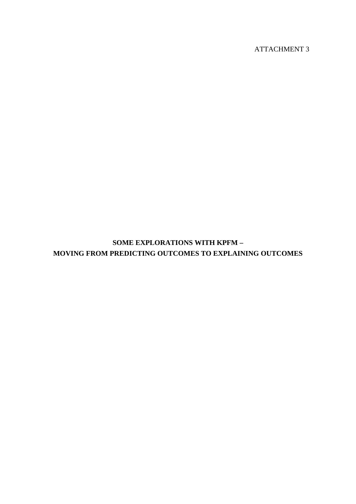ATTACHMENT 3

**SOME EXPLORATIONS WITH KPFM – MOVING FROM PREDICTING OUTCOMES TO EXPLAINING OUTCOMES**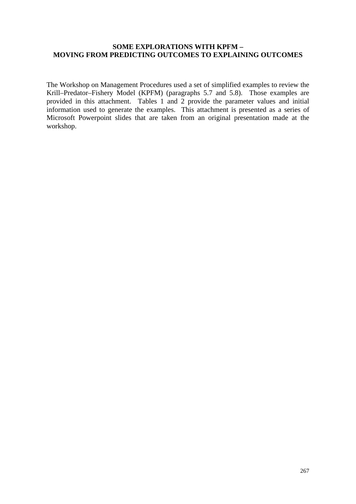## **SOME EXPLORATIONS WITH KPFM – MOVING FROM PREDICTING OUTCOMES TO EXPLAINING OUTCOMES**

The Workshop on Management Procedures used a set of simplified examples to review the Krill–Predator–Fishery Model (KPFM) (paragraphs 5.7 and 5.8). Those examples are provided in this attachment. Tables 1 and 2 provide the parameter values and initial information used to generate the examples. This attachment is presented as a series of Microsoft Powerpoint slides that are taken from an original presentation made at the workshop.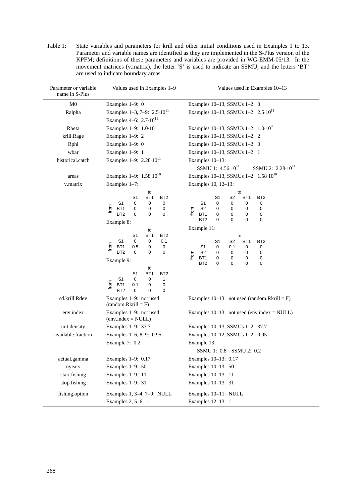| Parameter or variable<br>name in S-Plus | Values used in Examples 1-9<br>Values used in Examples 10-13                                                                                                                                           |                                                                                                                                                                                                                                                               |  |  |  |  |
|-----------------------------------------|--------------------------------------------------------------------------------------------------------------------------------------------------------------------------------------------------------|---------------------------------------------------------------------------------------------------------------------------------------------------------------------------------------------------------------------------------------------------------------|--|--|--|--|
| M <sub>0</sub>                          | Examples 1-9: 0                                                                                                                                                                                        | Examples 10-13, SSMUs 1-2: 0                                                                                                                                                                                                                                  |  |  |  |  |
| Ralpha                                  | Examples 1-3, 7-9: $2.5 \cdot 10^{11}$                                                                                                                                                                 | Examples 10-13, SSMUs 1-2: 2.5-10 <sup>11</sup>                                                                                                                                                                                                               |  |  |  |  |
|                                         | Examples 4–6: $2.7 \cdot 10^{11}$                                                                                                                                                                      |                                                                                                                                                                                                                                                               |  |  |  |  |
| Rbeta                                   | Examples $1-9: 1.0 \cdot 10^8$                                                                                                                                                                         | Examples 10–13, SSMUs 1–2: $1.0 \cdot 10^8$                                                                                                                                                                                                                   |  |  |  |  |
| krill.Rage                              | Examples 1-9: 2                                                                                                                                                                                        | Examples 10-13, SSMUs 1-2: 2                                                                                                                                                                                                                                  |  |  |  |  |
| Rphi                                    | Examples 1-9: 0                                                                                                                                                                                        | Examples 10-13, SSMUs 1-2: 0                                                                                                                                                                                                                                  |  |  |  |  |
| wbar                                    | Examples 1-9: 1                                                                                                                                                                                        | Examples 10-13, SSMUs 1-2: 1                                                                                                                                                                                                                                  |  |  |  |  |
| historical.catch                        | Examples $1-9$ : $2.28 \cdot 10^{11}$                                                                                                                                                                  | Examples 10-13:                                                                                                                                                                                                                                               |  |  |  |  |
|                                         |                                                                                                                                                                                                        | SSMU 1: $4.56 \cdot 10^{11}$<br>SSMU 2: 2.28-10 <sup>11</sup>                                                                                                                                                                                                 |  |  |  |  |
| areas                                   | Examples 1-9: 1.58-10 <sup>10</sup>                                                                                                                                                                    | Examples 10-13, SSMUs 1-2: 1.58-10 <sup>10</sup>                                                                                                                                                                                                              |  |  |  |  |
| v.matrix                                | Examples 1-7:                                                                                                                                                                                          | Examples 10, 12-13:                                                                                                                                                                                                                                           |  |  |  |  |
|                                         | to<br>BT <sub>1</sub><br>S <sub>1</sub><br>BT <sub>2</sub><br>S <sub>1</sub><br>0<br>0<br>0<br>from<br>BT <sub>1</sub><br>0<br>0<br>0<br>$\mathbf 0$<br>BT <sub>2</sub><br>0<br>$\Omega$<br>Example 8: | to<br>S <sub>1</sub><br>S2<br>BT <sub>1</sub><br>BT <sub>2</sub><br>S <sub>1</sub><br>0<br>0<br>0<br>0<br>S <sub>2</sub><br>0<br>0<br>0<br>0<br>from<br>$\mathbf 0$<br>0<br>BT <sub>1</sub><br>0<br>0<br>BT <sub>2</sub><br>0<br>$\Omega$<br>$\mathbf 0$<br>0 |  |  |  |  |
|                                         | to                                                                                                                                                                                                     | Example 11:                                                                                                                                                                                                                                                   |  |  |  |  |
|                                         | BT <sub>1</sub><br>BT <sub>2</sub><br>S1<br>S1<br>0<br>0.1<br>0<br>from<br>0.5<br>0<br>BT1<br>0<br>BT <sub>2</sub><br>0<br>0<br>0<br>Example 9:                                                        | to<br>S <sub>1</sub><br>S2<br>BT <sub>1</sub><br>BT <sub>2</sub><br>S <sub>1</sub><br>0<br>0.1<br>0<br>0<br>S <sub>2</sub><br>0<br>0<br>0<br>0<br>from<br>BT <sub>1</sub><br>0<br>0<br>0<br>0                                                                 |  |  |  |  |
|                                         | to<br>S1<br>BT <sub>1</sub><br>BT <sub>2</sub><br>S1<br>0<br>0<br>1<br>from<br>0.1<br>0<br>BT <sub>1</sub><br>0<br>BT <sub>2</sub><br>$\mathbf 0$<br>$\Omega$<br>0                                     | BT <sub>2</sub><br>$\mathbf 0$<br>0<br>$\Omega$<br>$\Omega$                                                                                                                                                                                                   |  |  |  |  |
| sd.krill.Rdev                           | Examples 1-9: not used<br>$(random.Rkrill = F)$                                                                                                                                                        | Examples $10-13$ : not used (random.Rkrill = F)                                                                                                                                                                                                               |  |  |  |  |
| env.index                               | Examples 1-9: not used<br>$(\text{env.index} = \text{NULL})$                                                                                                                                           | Examples $10-13$ : not used (env.index = NULL)                                                                                                                                                                                                                |  |  |  |  |
| init.density                            | Examples 1-9: 37.7                                                                                                                                                                                     | Examples 10-13, SSMUs 1-2: 37.7                                                                                                                                                                                                                               |  |  |  |  |
| available.fraction                      | Examples 1-6, 8-9: 0.95                                                                                                                                                                                | Examples 10-12, SSMUs 1-2: 0.95                                                                                                                                                                                                                               |  |  |  |  |
|                                         | Example 7: 0.2                                                                                                                                                                                         | Example 13:                                                                                                                                                                                                                                                   |  |  |  |  |
|                                         |                                                                                                                                                                                                        | SSMU 1: 0.8 SSMU 2: 0.2                                                                                                                                                                                                                                       |  |  |  |  |
| actual.gamma                            | Examples 1-9: 0.17                                                                                                                                                                                     | Examples 10-13: 0.17                                                                                                                                                                                                                                          |  |  |  |  |
| nyears                                  | Examples 1-9: 50                                                                                                                                                                                       | Examples 10-13: 50                                                                                                                                                                                                                                            |  |  |  |  |
| start.fishing                           | Examples 1-9: 11                                                                                                                                                                                       | Examples 10-13: 11                                                                                                                                                                                                                                            |  |  |  |  |
| stop.fishing                            | Examples 1-9: 31                                                                                                                                                                                       | Examples 10-13: 31                                                                                                                                                                                                                                            |  |  |  |  |
| fishing.option                          | Examples 1, 3-4, 7-9: NULL<br>Examples 2, 5-6: 1                                                                                                                                                       | Examples 10-11: NULL<br>Examples 12-13: 1                                                                                                                                                                                                                     |  |  |  |  |

Table 1: State variables and parameters for krill and other initial conditions used in Examples 1 to 13. Parameter and variable names are identified as they are implemented in the S-Plus version of the KPFM; definitions of these parameters and variables are provided in WG-EMM-05/13. In the movement matrices (v.matrix), the letter 'S' is used to indicate an SSMU, and the letters 'BT' are used to indicate boundary areas.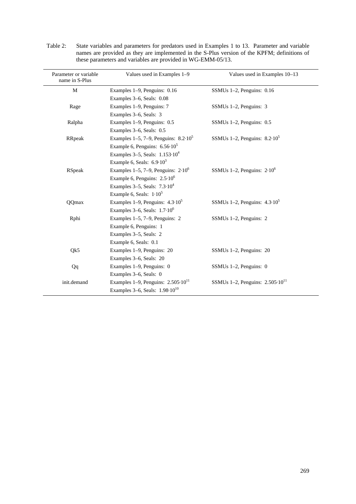| Parameter or variable<br>name in S-Plus | Values used in Examples 1-9                                            | Values used in Examples 10–13              |  |  |  |
|-----------------------------------------|------------------------------------------------------------------------|--------------------------------------------|--|--|--|
| M                                       | Examples 1–9, Penguins: 0.16                                           | SSMUs $1-2$ , Penguins: $0.16$             |  |  |  |
|                                         | Examples 3–6, Seals: 0.08                                              |                                            |  |  |  |
| Rage                                    | Examples 1–9, Penguins: 7                                              | SSMUs 1-2, Penguins: 3                     |  |  |  |
|                                         | Examples 3–6, Seals: 3                                                 |                                            |  |  |  |
| Ralpha                                  | Examples 1–9, Penguins: 0.5                                            | SSMUs $1-2$ , Penguins: $0.5$              |  |  |  |
|                                         | Examples 3–6, Seals: 0.5                                               |                                            |  |  |  |
| RRpeak                                  | Examples 1–5, 7–9, Penguins: $8.2 \cdot 10^5$                          | SSMUs 1-2, Penguins: $8.2 \cdot 10^5$      |  |  |  |
|                                         | Example 6, Penguins: $6.56 \cdot 10^5$                                 |                                            |  |  |  |
|                                         | Examples 3–5, Seals: $1.153 \cdot 10^4$                                |                                            |  |  |  |
|                                         | Example 6, Seals: $6.9 \cdot 10^3$                                     |                                            |  |  |  |
| <b>RSpeak</b>                           | Examples 1–5, 7–9, Penguins: $2.10^6$<br>SSMUs 1-2, Penguins: $2.10^6$ |                                            |  |  |  |
|                                         | Example 6, Penguins: $2.5 \cdot 10^6$                                  |                                            |  |  |  |
|                                         | Examples $3-5$ , Seals: $7.3 \cdot 10^4$                               |                                            |  |  |  |
|                                         | Example 6, Seals: $1.10^5$                                             |                                            |  |  |  |
| QQmax                                   | Examples 1–9, Penguins: $4.3 \cdot 10^5$                               | SSMUs 1-2, Penguins: $4.3 \cdot 10^5$      |  |  |  |
|                                         | Examples $3-6$ , Seals: $1.7 \cdot 10^6$                               |                                            |  |  |  |
| Rphi                                    | Examples $1-5$ , $7-9$ , Penguins: 2<br>SSMUs 1-2, Penguins: 2         |                                            |  |  |  |
|                                         | Example 6, Penguins: 1                                                 |                                            |  |  |  |
|                                         | Examples 3–5, Seals: 2                                                 |                                            |  |  |  |
|                                         | Example 6, Seals: 0.1                                                  |                                            |  |  |  |
| Qk5                                     | Examples 1–9, Penguins: 20                                             | SSMUs $1-2$ , Penguins: 20                 |  |  |  |
|                                         | Examples 3-6, Seals: 20                                                |                                            |  |  |  |
| Qq                                      | Examples 1–9, Penguins: 0                                              | SSMUs $1-2$ , Penguins: 0                  |  |  |  |
|                                         | Examples 3-6, Seals: 0                                                 |                                            |  |  |  |
| init.demand                             | Examples 1–9, Penguins: $2.505 \cdot 10^{11}$                          | SSMUs 1-2, Penguins: $2.505 \cdot 10^{11}$ |  |  |  |
|                                         | Examples 3–6, Seals: $1.98 \cdot 10^{10}$                              |                                            |  |  |  |

Table 2: State variables and parameters for predators used in Examples 1 to 13. Parameter and variable names are provided as they are implemented in the S-Plus version of the KPFM; definitions of these parameters and variables are provided in WG-EMM-05/13.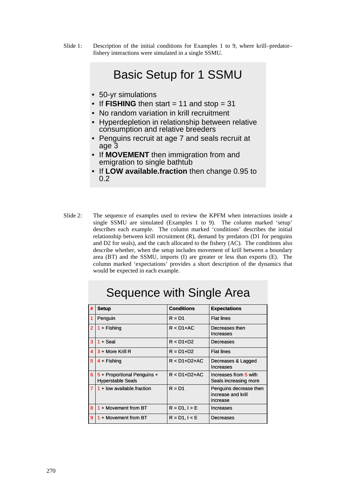Slide 1: Description of the initial conditions for Examples 1 to 9, where krill–predator– fishery interactions were simulated in a single SSMU.

# Basic Setup for 1 SSMU

- 50-yr simulations
- If  **then start = 11 and stop = 31**
- No random variation in krill recruitment
- Hyperdepletion in relationship between relative consumption and relative breeders
- Penguins recruit at age 7 and seals recruit at age 3
- If **MOVEMENT** then immigration from and emigration to single bathtub
- If **LOW available.fraction** then change 0.95 to 0.2
- Slide 2: The sequence of examples used to review the KPFM when interactions inside a single SSMU are simulated (Examples 1 to 9). The column marked 'setup' describes each example. The column marked 'conditions' describes the initial relationship between krill recruitment (R), demand by predators (D1 for penguins and D2 for seals), and the catch allocated to the fishery (AC). The conditions also describe whether, when the setup includes movement of krill between a boundary area (BT) and the SSMU, imports (I) are greater or less than exports (E). The column marked 'expectations' provides a short description of the dynamics that would be expected in each example.

| #              |                                                         | <b>Conditions</b> |                                                          |
|----------------|---------------------------------------------------------|-------------------|----------------------------------------------------------|
|                | <b>Setup</b>                                            |                   | <b>Expectations</b>                                      |
| 1              | Penguin                                                 | $R = D1$          | <b>Flat lines</b>                                        |
| $\overline{2}$ | $1 +$ Fishing                                           | $R < D1+A C$      | Decreases then<br>Increases                              |
| 3              | $1 +$ Seal                                              | $R < D1+D2$       | Decreases                                                |
| 4              | $3 +$ More Krill R                                      | $R = D1 + D2$     | <b>Flat lines</b>                                        |
| 5              | $4 +$ Fishing                                           | $R < D1+D2+AC$    | Decreases & Lagged<br>Increases                          |
| 6 <sup>1</sup> | 5 + Proportional Penguins +<br><b>Hyperstable Seals</b> | $R < D1+D2+AC$    | Increases from 5 with<br>Seals increasing more           |
| 7 <sup>1</sup> | $1 +$ low available fraction                            | $R = D1$          | Penguins decrease then<br>increase and krill<br>increase |
| 8              | $1 +$ Movement from BT                                  | $R = D1, I > E$   | Increases                                                |
| 9              | $1 +$ Movement from BT                                  | $R = D1, l < E$   | Decreases                                                |

# Sequence with Single Area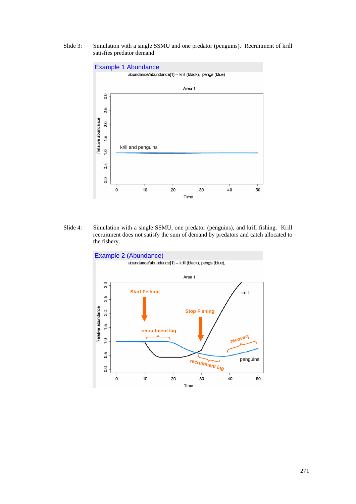Slide 3: Simulation with a single SSMU and one predator (penguins). Recruitment of krill satisfies predator demand.



Slide 4: Simulation with a single SSMU, one predator (penguins), and krill fishing. Krill recruitment does not satisfy the sum of demand by predators and catch allocated to the fishery.

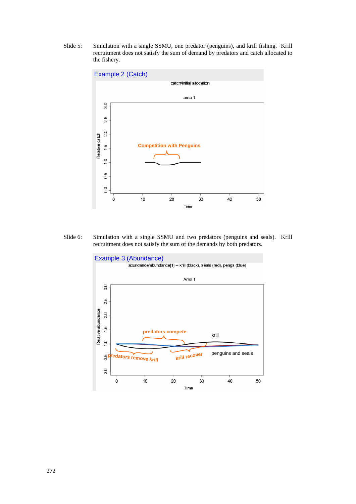Slide 5: Simulation with a single SSMU, one predator (penguins), and krill fishing. Krill recruitment does not satisfy the sum of demand by predators and catch allocated to the fishery.



Slide 6: Simulation with a single SSMU and two predators (penguins and seals). Krill recruitment does not satisfy the sum of the demands by both predators.

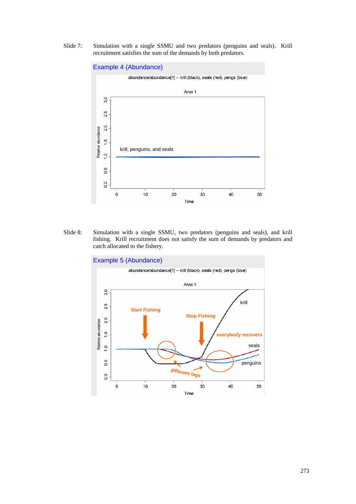Slide 7: Simulation with a single SSMU and two predators (penguins and seals). Krill recruitment satisfies the sum of the demands by both predators.



Slide 8: Simulation with a single SSMU, two predators (penguins and seals), and krill fishing. Krill recruitment does not satisfy the sum of demands by predators and catch allocated to the fishery.

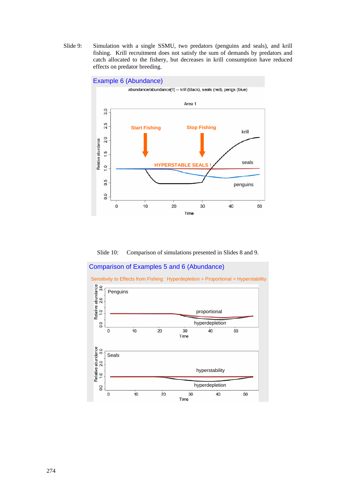Slide 9: Simulation with a single SSMU, two predators (penguins and seals), and krill fishing. Krill recruitment does not satisfy the sum of demands by predators and catch allocated to the fishery, but decreases in krill consumption have reduced effects on predator breeding.



Slide 10: Comparison of simulations presented in Slides 8 and 9.

#### Comparison of Examples 5 and 6 (Abundance)

Sensitivity to Effects from Fishing: Hyperdepletion > Proportional > Hyperstability

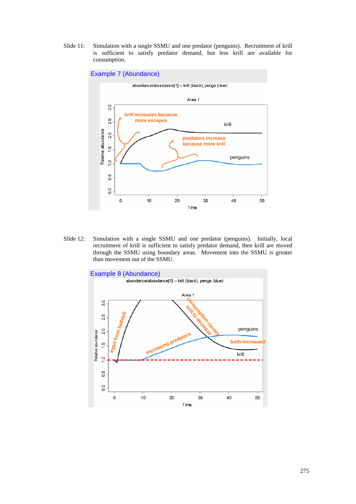Slide 11: Simulation with a single SSMU and one predator (penguins). Recruitment of krill is sufficient to satisfy predator demand, but less krill are available for consumption.



Slide 12: Simulation with a single SSMU and one predator (penguins). Initially, local recruitment of krill is sufficient to satisfy predator demand, then krill are moved through the SSMU using boundary areas. Movement into the SSMU is greater than movement out of the SSMU.

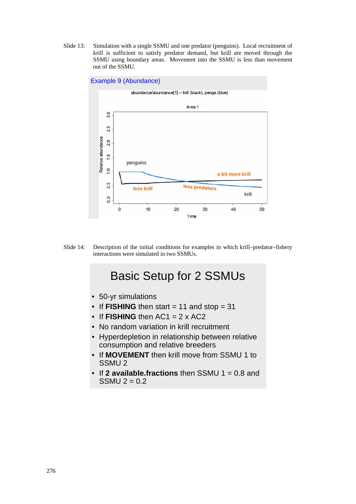Slide 13: Simulation with a single SSMU and one predator (penguins). Local recruitment of krill is sufficient to satisfy predator demand, but krill are moved through the SSMU using boundary areas. Movement into the SSMU is less than movement out of the SSMU.



Slide 14: Description of the initial conditions for examples in which krill–predator–fishery interactions were simulated in two SSMUs.

# Basic Setup for 2 SSMUs

- 50-yr simulations
- If **FISHING** then start = 11 and stop = 31
- If  **then**  $AC1 = 2 \times AC2$
- No random variation in krill recruitment
- Hyperdepletion in relationship between relative consumption and relative breeders
- If **MOVEMENT** then krill move from SSMU 1 to SSMU 2
- If **2 available.fractions** then SSMU 1 = 0.8 and SSMU  $2 = 0.2$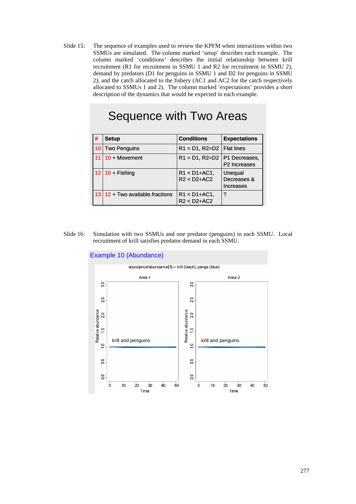Slide 15: The sequence of examples used to review the KPFM when interactions within two SSMUs are simulated. The column marked 'setup' describes each example. The column marked 'conditions' describes the initial relationship between krill recruitment (R1 for recruitment in SSMU 1 and R2 for recruitment in SSMU 2), demand by predators (D1 for penguins in SSMU 1 and D2 for penguins in SSMU 2), and the catch allocated to the fishery (AC1 and AC2 for the catch respectively allocated to SSMUs 1 and 2). The column marked 'expectations' provides a short description of the dynamics that would be expected in each example.

# Sequence with Two Areas

| #               | <b>Setup</b>                   | <b>Conditions</b>                  | <b>Expectations</b>                       |
|-----------------|--------------------------------|------------------------------------|-------------------------------------------|
| 10              | <b>Two Penguins</b>            | $R1 = D1, R2 = D2$                 | <b>Flat lines</b>                         |
| 11              | $10 + M$ ovement               | $R1 = D1, R2 = D2$                 | P1 Decreases.<br>P <sub>2</sub> Increases |
|                 | $12 \mid 10 +$ Fishing         | $R1 < D1 + AC1$ ,<br>$R2 < D2+AC2$ | Unequal<br>Decreases &<br>Increases       |
| 13 <sup>1</sup> | $12 + Two available fractions$ | $R1 < D1 + AC1$ ,<br>$R2 < D2+AC2$ | ?                                         |

Slide 16: Simulation with two SSMUs and one predator (penguins) in each SSMU. Local recruitment of krill satisfies predator demand in each SSMU.

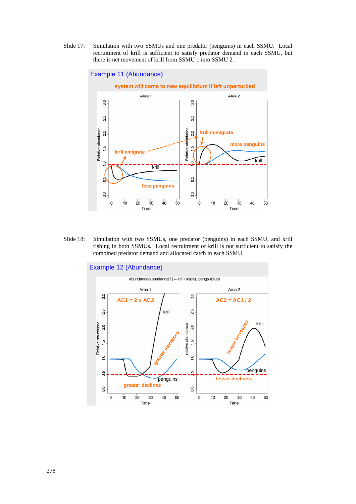Slide 17: Simulation with two SSMUs and one predator (penguins) in each SSMU. Local recruitment of krill is sufficient to satisfy predator demand in each SSMU, but there is net movement of krill from SSMU 1 into SSMU 2.



Slide 18: Simulation with two SSMUs, one predator (penguins) in each SSMU, and krill fishing in both SSMUs. Local recruitment of krill is not sufficient to satisfy the combined predator demand and allocated catch in each SSMU.